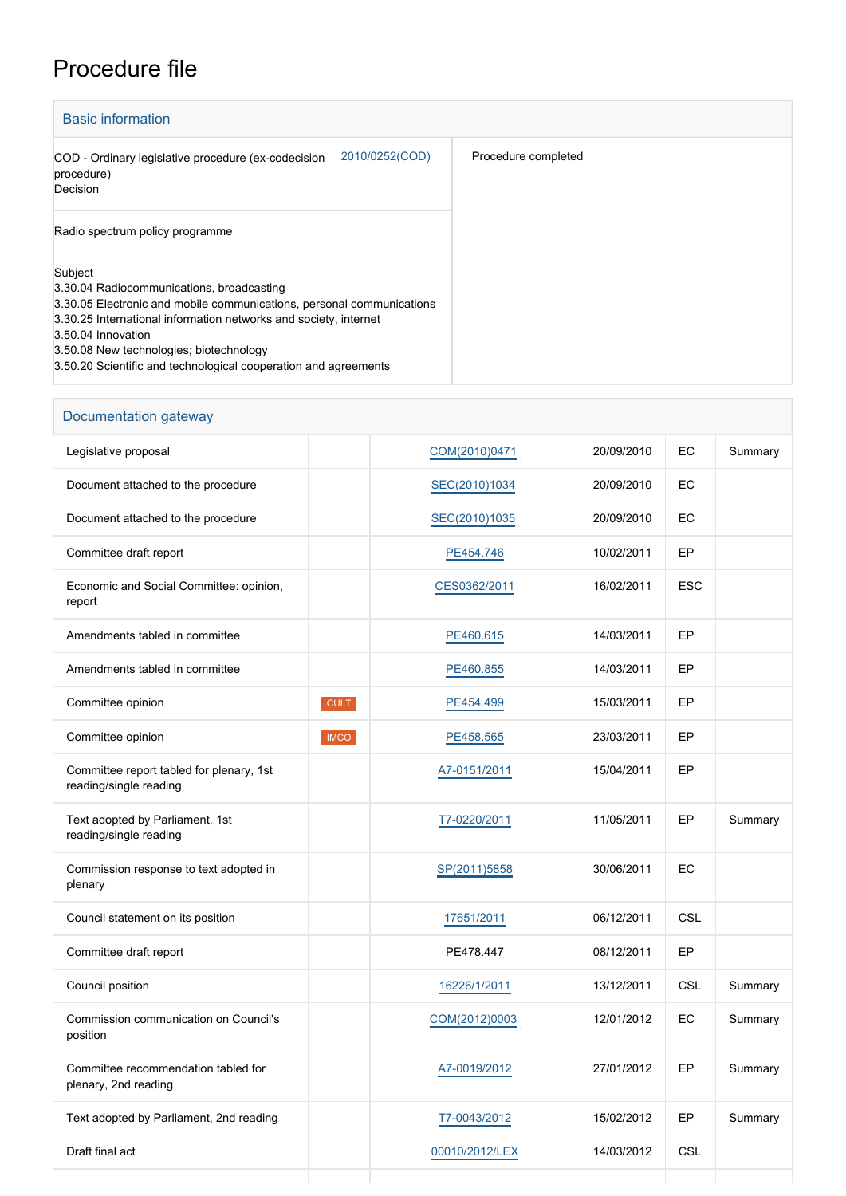## Procedure file

| <b>Basic information</b>                                                                                                                                                                                                                                                                                                              |                     |
|---------------------------------------------------------------------------------------------------------------------------------------------------------------------------------------------------------------------------------------------------------------------------------------------------------------------------------------|---------------------|
| 2010/0252(COD)<br>COD - Ordinary legislative procedure (ex-codecision<br>procedure)<br>Decision                                                                                                                                                                                                                                       | Procedure completed |
| Radio spectrum policy programme                                                                                                                                                                                                                                                                                                       |                     |
| Subject<br>3.30.04 Radiocommunications, broadcasting<br>3.30.05 Electronic and mobile communications, personal communications<br>3.30.25 International information networks and society, internet<br>3.50.04 Innovation<br>3.50.08 New technologies; biotechnology<br>3.50.20 Scientific and technological cooperation and agreements |                     |

| Documentation gateway                                              |             |                |            |            |         |
|--------------------------------------------------------------------|-------------|----------------|------------|------------|---------|
| Legislative proposal                                               |             | COM(2010)0471  | 20/09/2010 | EC         | Summary |
| Document attached to the procedure                                 |             | SEC(2010)1034  | 20/09/2010 | EC         |         |
| Document attached to the procedure                                 |             | SEC(2010)1035  | 20/09/2010 | EC         |         |
| Committee draft report                                             |             | PE454.746      | 10/02/2011 | EP         |         |
| Economic and Social Committee: opinion,<br>report                  |             | CES0362/2011   | 16/02/2011 | <b>ESC</b> |         |
| Amendments tabled in committee                                     |             | PE460.615      | 14/03/2011 | EP         |         |
| Amendments tabled in committee                                     |             | PE460.855      | 14/03/2011 | EP         |         |
| Committee opinion                                                  | <b>CULT</b> | PE454.499      | 15/03/2011 | EP         |         |
| Committee opinion                                                  | <b>IMCO</b> | PE458.565      | 23/03/2011 | EP         |         |
| Committee report tabled for plenary, 1st<br>reading/single reading |             | A7-0151/2011   | 15/04/2011 | EP         |         |
| Text adopted by Parliament, 1st<br>reading/single reading          |             | T7-0220/2011   | 11/05/2011 | EP         | Summary |
| Commission response to text adopted in<br>plenary                  |             | SP(2011)5858   | 30/06/2011 | EC         |         |
| Council statement on its position                                  |             | 17651/2011     | 06/12/2011 | <b>CSL</b> |         |
| Committee draft report                                             |             | PE478.447      | 08/12/2011 | EP         |         |
| Council position                                                   |             | 16226/1/2011   | 13/12/2011 | CSL        | Summary |
| Commission communication on Council's<br>position                  |             | COM(2012)0003  | 12/01/2012 | EC         | Summary |
| Committee recommendation tabled for<br>plenary, 2nd reading        |             | A7-0019/2012   | 27/01/2012 | EP         | Summary |
| Text adopted by Parliament, 2nd reading                            |             | T7-0043/2012   | 15/02/2012 | EP         | Summary |
| Draft final act                                                    |             | 00010/2012/LEX | 14/03/2012 | CSL        |         |
|                                                                    |             |                |            |            |         |